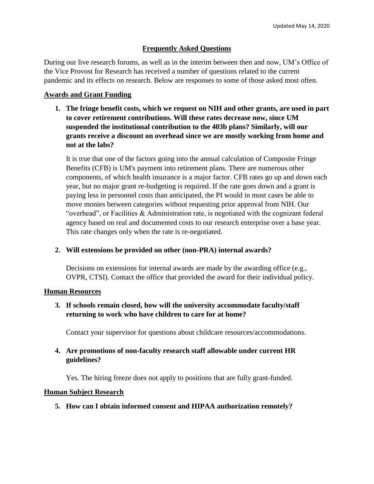# **Frequently Asked Questions**

During our live research forums, as well as in the interim between then and now, UM's Office of the Vice Provost for Research has received a number of questions related to the current pandemic and its effects on research. Below are responses to some of those asked most often.

#### **Awards and Grant Funding**

**1. The fringe benefit costs, which we request on NIH and other grants, are used in part to cover retirement contributions. Will these rates decrease now, since UM suspended the institutional contribution to the 403b plans? Similarly, will our grants receive a discount on overhead since we are mostly working from home and not at the labs?** 

It is true that one of the factors going into the annual calculation of Composite Fringe Benefits (CFB) is UM's payment into retirement plans. There are numerous other components, of which health insurance is a major factor. CFB rates go up and down each year, but no major grant re-budgeting is required. If the rate goes down and a grant is paying less in personnel costs than anticipated, the PI would in most cases be able to move monies between categories without requesting prior approval from NIH. Our "overhead", or Facilities & Administration rate, is negotiated with the cognizant federal agency based on real and documented costs to our research enterprise over a base year. This rate changes only when the rate is re-negotiated.

## **2. Will extensions be provided on other (non-PRA) internal awards?**

Decisions on extensions for internal awards are made by the awarding office (e.g., OVPR, CTSI). Contact the office that provided the award for their individual policy.

#### **Human Resources**

**3. If schools remain closed, how will the university accommodate faculty/staff returning to work who have children to care for at home?** 

Contact your supervisor for questions about childcare resources/accommodations.

**4. Are promotions of non-faculty research staff allowable under current HR guidelines?**

Yes. The hiring freeze does not apply to positions that are fully grant-funded.

## **Human Subject Research**

## **5. How can I obtain informed consent and HIPAA authorization remotely?**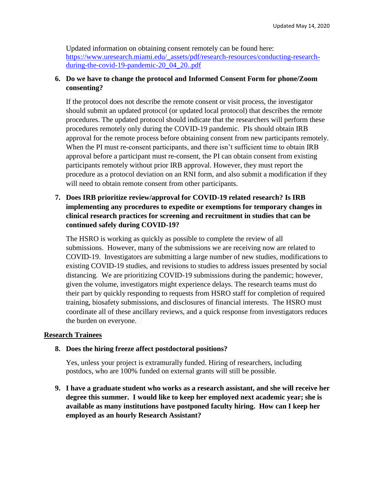Updated information on obtaining consent remotely can be found here: [https://www.uresearch.miami.edu/\\_assets/pdf/research-resources/conducting-research](https://www.uresearch.miami.edu/_assets/pdf/research-resources/conducting-research-during-the-covid-19-pandemic-20_04_20..pdf)[during-the-covid-19-pandemic-20\\_04\\_20..pdf](https://www.uresearch.miami.edu/_assets/pdf/research-resources/conducting-research-during-the-covid-19-pandemic-20_04_20..pdf)

### **6. Do we have to change the protocol and Informed Consent Form for phone/Zoom consenting?**

If the protocol does not describe the remote consent or visit process, the investigator should submit an updated protocol (or updated local protocol) that describes the remote procedures. The updated protocol should indicate that the researchers will perform these procedures remotely only during the COVID-19 pandemic. PIs should obtain IRB approval for the remote process before obtaining consent from new participants remotely. When the PI must re-consent participants, and there isn't sufficient time to obtain IRB approval before a participant must re-consent, the PI can obtain consent from existing participants remotely without prior IRB approval. However, they must report the procedure as a protocol deviation on an RNI form, and also submit a modification if they will need to obtain remote consent from other participants.

**7. Does IRB prioritize review/approval for COVID-19 related research? Is IRB implementing any procedures to expedite or exemptions for temporary changes in clinical research practices for screening and recruitment in studies that can be continued safely during COVID-19?**

The HSRO is working as quickly as possible to complete the review of all submissions. However, many of the submissions we are receiving now are related to COVID-19. Investigators are submitting a large number of new studies, modifications to existing COVID-19 studies, and revisions to studies to address issues presented by social distancing. We are prioritizing COVID-19 submissions during the pandemic; however, given the volume, investigators might experience delays. The research teams must do their part by quickly responding to requests from HSRO staff for completion of required training, biosafety submissions, and disclosures of financial interests. The HSRO must coordinate all of these ancillary reviews, and a quick response from investigators reduces the burden on everyone.

#### **Research Trainees**

#### **8. Does the hiring freeze affect postdoctoral positions?**

Yes, unless your project is extramurally funded. Hiring of researchers, including postdocs, who are 100% funded on external grants will still be possible.

**9. I have a graduate student who works as a research assistant, and she will receive her degree this summer. I would like to keep her employed next academic year; she is available as many institutions have postponed faculty hiring. How can I keep her employed as an hourly Research Assistant?**